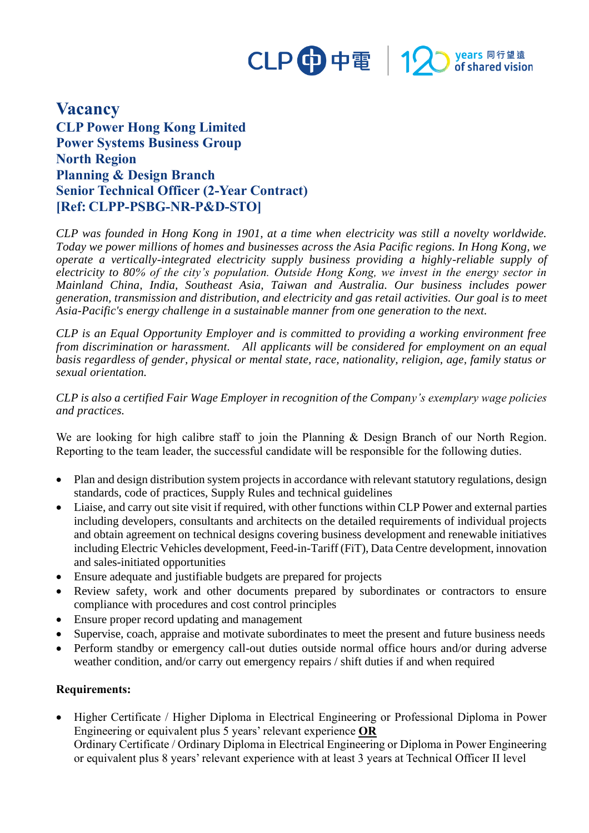

## **Vacancy CLP Power Hong Kong Limited Power Systems Business Group North Region Planning & Design Branch Senior Technical Officer (2-Year Contract) [Ref: CLPP-PSBG-NR-P&D-STO]**

*CLP was founded in Hong Kong in 1901, at a time when electricity was still a novelty worldwide. Today we power millions of homes and businesses across the Asia Pacific regions. In Hong Kong, we operate a vertically-integrated electricity supply business providing a highly-reliable supply of electricity to 80% of the city's population. Outside Hong Kong, we invest in the energy sector in Mainland China, India, Southeast Asia, Taiwan and Australia. Our business includes power generation, transmission and distribution, and electricity and gas retail activities. Our goal is to meet Asia-Pacific's energy challenge in a sustainable manner from one generation to the next.*

*CLP is an Equal Opportunity Employer and is committed to providing a working environment free from discrimination or harassment. All applicants will be considered for employment on an equal basis regardless of gender, physical or mental state, race, nationality, religion, age, family status or sexual orientation.*

*CLP is also a certified Fair Wage Employer in recognition of the Company's exemplary wage policies and practices.*

We are looking for high calibre staff to join the Planning & Design Branch of our North Region. Reporting to the team leader, the successful candidate will be responsible for the following duties.

- Plan and design distribution system projects in accordance with relevant statutory regulations, design standards, code of practices, Supply Rules and technical guidelines
- Liaise, and carry out site visit if required, with other functions within CLP Power and external parties including developers, consultants and architects on the detailed requirements of individual projects and obtain agreement on technical designs covering business development and renewable initiatives including Electric Vehicles development, Feed-in-Tariff (FiT), Data Centre development, innovation and sales-initiated opportunities
- Ensure adequate and justifiable budgets are prepared for projects
- Review safety, work and other documents prepared by subordinates or contractors to ensure compliance with procedures and cost control principles
- Ensure proper record updating and management
- Supervise, coach, appraise and motivate subordinates to meet the present and future business needs
- Perform standby or emergency call-out duties outside normal office hours and/or during adverse weather condition, and/or carry out emergency repairs / shift duties if and when required

## **Requirements:**

• Higher Certificate / Higher Diploma in Electrical Engineering or Professional Diploma in Power Engineering or equivalent plus 5 years' relevant experience **OR** Ordinary Certificate / Ordinary Diploma in Electrical Engineering or Diploma in Power Engineering or equivalent plus 8 years' relevant experience with at least 3 years at Technical Officer II level